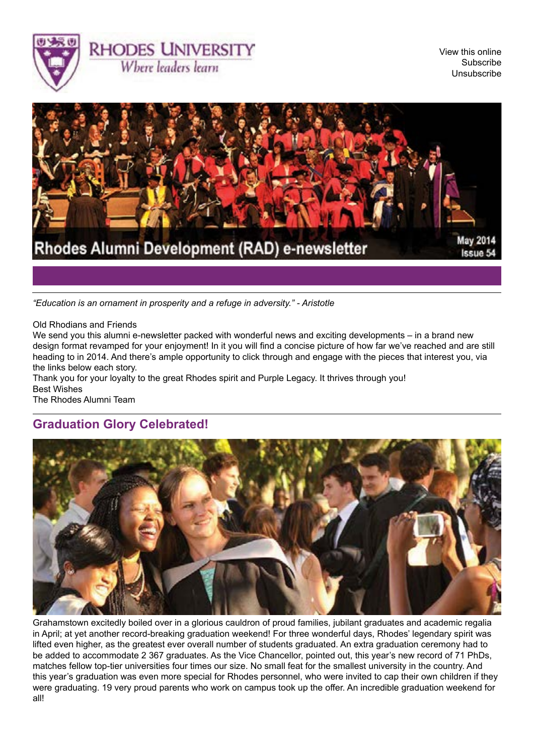



*"Education is an ornament in prosperity and a refuge in adversity." - Aristotle*

Old Rhodians and Friends

We send you this alumni e-newsletter packed with wonderful news and exciting developments – in a brand new design format revamped for your enjoyment! In it you will find a concise picture of how far we've reached and are still heading to in 2014. And there's ample opportunity to click through and engage with the pieces that interest you, via the links below each story.

Thank you for your loyalty to the great Rhodes spirit and Purple Legacy. It thrives through you! Best Wishes

The Rhodes Alumni Team

### **Graduation Glory Celebrated!**



Grahamstown excitedly boiled over in a glorious cauldron of proud families, jubilant graduates and academic regalia in April; at yet another record-breaking graduation weekend! For three wonderful days, Rhodes' legendary spirit was lifted even higher, as the greatest ever overall number of students graduated. An extra graduation ceremony had to be added to accommodate 2 367 graduates. As the Vice Chancellor, pointed out, this year's new record of 71 PhDs, matches fellow top-tier universities four times our size. No small feat for the smallest university in the country. And this year's graduation was even more special for Rhodes personnel, who were invited to cap their own children if they were graduating. 19 very proud parents who work on campus took up the offer. An incredible graduation weekend for all!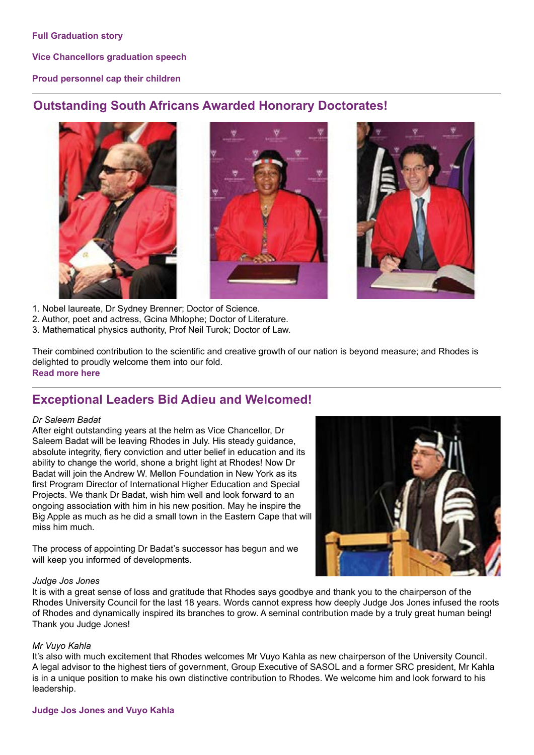**[Vice Chancellors graduation speech](http://www.ru.ac.za/media/rhodesuniversity/content/ruhome/documents/GraduationCeremoniesFinalWebsite-10April2014.pdf)**

### **[Proud personnel cap their children](http://www.ru.ac.za/latestnews/rhodesstaffmemberstocapchildren.html)**

### **Outstanding South Africans Awarded Honorary Doctorates!**







- 1. Nobel laureate, Dr Sydney Brenner; Doctor of Science.
- 2. Author, poet and actress, Gcina Mhlophe; Doctor of Literature.
- 3. Mathematical physics authority, Prof Neil Turok; Doctor of Law.

Their combined contribution to the scientific and creative growth of our nation is beyond measure; and Rhodes is delighted to proudly welcome them into our fold. **[Read more here](http://www.ru.ac.za/latestnews/rhodestohonourturokbrennerandmhlophe.html)**

## **Exceptional Leaders Bid Adieu and Welcomed!**

### *Dr Saleem Badat*

After eight outstanding years at the helm as Vice Chancellor, Dr Saleem Badat will be leaving Rhodes in July. His steady guidance, absolute integrity, fiery conviction and utter belief in education and its ability to change the world, shone a bright light at Rhodes! Now Dr Badat will join the Andrew W. Mellon Foundation in New York as its first Program Director of International Higher Education and Special Projects. We thank Dr Badat, wish him well and look forward to an ongoing association with him in his new position. May he inspire the Big Apple as much as he did a small town in the Eastern Cape that will miss him much.

The process of appointing Dr Badat's successor has begun and we will keep you informed of developments.



### *Judge Jos Jones*

It is with a great sense of loss and gratitude that Rhodes says goodbye and thank you to the chairperson of the Rhodes University Council for the last 18 years. Words cannot express how deeply Judge Jos Jones infused the roots of Rhodes and dynamically inspired its branches to grow. A seminal contribution made by a truly great human being! Thank you Judge Jones!

### *Mr Vuyo Kahla*

It's also with much excitement that Rhodes welcomes Mr Vuyo Kahla as new chairperson of the University Council. A legal advisor to the highest tiers of government, Group Executive of SASOL and a former SRC president, Mr Kahla is in a unique position to make his own distinctive contribution to Rhodes. We welcome him and look forward to his leadership.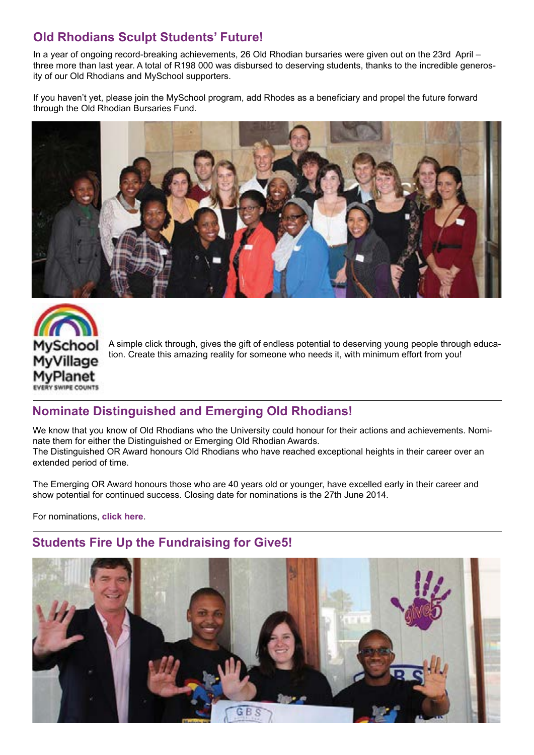## **Old Rhodians Sculpt Students' Future!**

In a year of ongoing record-breaking achievements, 26 Old Rhodian bursaries were given out on the 23rd April – three more than last year. A total of R198 000 was disbursed to deserving students, thanks to the incredible generosity of our Old Rhodians and MySchool supporters.

If you haven't yet, please join the MySchool program, add Rhodes as a beneficiary and propel the future forward through the Old Rhodian Bursaries Fund.





A simple click through, gives the gift of endless potential to deserving young people through education. Create this amazing reality for someone who needs it, with minimum effort from you!

## **Nominate Distinguished and Emerging Old Rhodians!**

We know that you know of Old Rhodians who the University could honour for their actions and achievements. Nominate them for either the Distinguished or Emerging Old Rhodian Awards. The Distinguished OR Award honours Old Rhodians who have reached exceptional heights in their career over an extended period of time.

The Emerging OR Award honours those who are 40 years old or younger, have excelled early in their career and show potential for continued success. Closing date for nominations is the 27th June 2014.

For nominations, **[click here](http://www.ru.ac.za/alumni/oldrhodianunion/oldrhodianawards/)**.

## **Students Fire Up the Fundraising for Give5!**

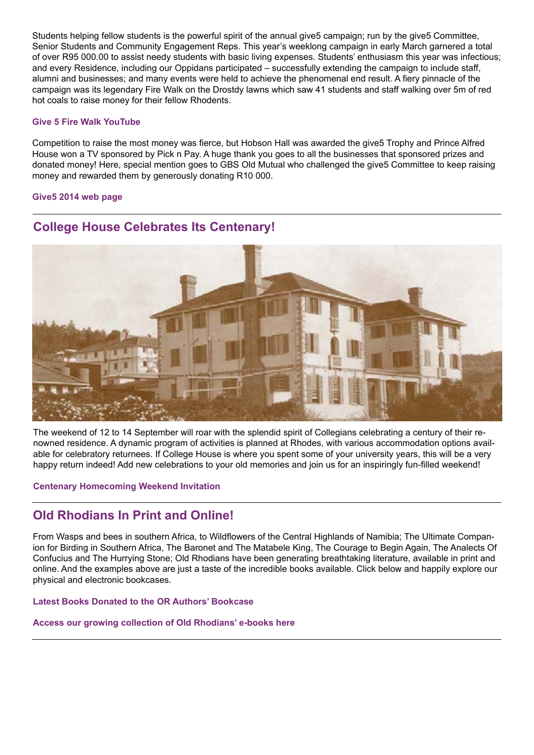Students helping fellow students is the powerful spirit of the annual give5 campaign; run by the give5 Committee, Senior Students and Community Engagement Reps. This year's weeklong campaign in early March garnered a total of over R95 000.00 to assist needy students with basic living expenses. Students' enthusiasm this year was infectious; and every Residence, including our Oppidans participated – successfully extending the campaign to include staff, alumni and businesses; and many events were held to achieve the phenomenal end result. A fiery pinnacle of the campaign was its legendary Fire Walk on the Drostdy lawns which saw 41 students and staff walking over 5m of red hot coals to raise money for their fellow Rhodents.

#### **[Give 5 Fire Walk YouTube](http://www.youtube.com/watch%3Fv%3DSjpGpQkJbH8)**

Competition to raise the most money was fierce, but Hobson Hall was awarded the give5 Trophy and Prince Alfred House won a TV sponsored by Pick n Pay. A huge thank you goes to all the businesses that sponsored prizes and donated money! Here, special mention goes to GBS Old Mutual who challenged the give5 Committee to keep raising money and rewarded them by generously donating R10 000.

#### **[Give5 2014 web page](http://www.ru.ac.za/alumni/alumnigiving/give5/give52014/)**



## **College House Celebrates Its Centenary!**

The weekend of 12 to 14 September will roar with the splendid spirit of Collegians celebrating a century of their renowned residence. A dynamic program of activities is planned at Rhodes, with various accommodation options available for celebratory returnees. If College House is where you spent some of your university years, this will be a very happy return indeed! Add new celebrations to your old memories and join us for an inspiringly fun-filled weekend!

### **[Centenary Homecoming Weekend Invitation](http://www.ru.ac.za/alumni/events/collegehousecentenary/)**

## **Old Rhodians In Print and Online!**

From Wasps and bees in southern Africa, to Wildflowers of the Central Highlands of Namibia; The Ultimate Companion for Birding in Southern Africa, The Baronet and The Matabele King, The Courage to Begin Again, The Analects Of Confucius and The Hurrying Stone; Old Rhodians have been generating breathtaking literature, available in print and online. And the examples above are just a taste of the incredible books available. Click below and happily explore our physical and electronic bookcases.

### **[Latest Books Donated to the OR Authors' Bookcase](http://www.ru.ac.za/alumni/orauthors/latestbooksdonatedtoru/)**

#### **[Access our growing collection of Old Rhodians' e-books here](http://www.ru.ac.za/alumni/orauthors/newe--booksbyoldrhodians/)**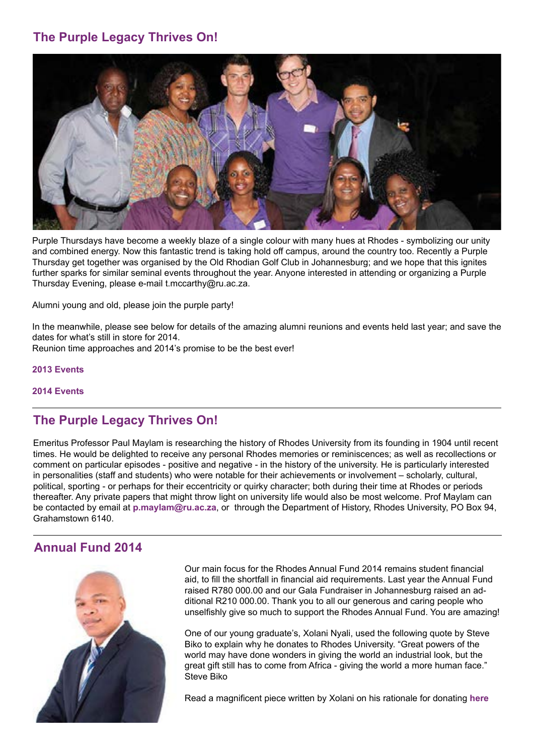## **The Purple Legacy Thrives On!**



Purple Thursdays have become a weekly blaze of a single colour with many hues at Rhodes - symbolizing our unity and combined energy. Now this fantastic trend is taking hold off campus, around the country too. Recently a Purple Thursday get together was organised by the Old Rhodian Golf Club in Johannesburg; and we hope that this ignites further sparks for similar seminal events throughout the year. Anyone interested in attending or organizing a Purple Thursday Evening, please e-mail [t.mccarthy@ru.ac.za](mailto:t.mccarthy@ru.ac.za).

Alumni young and old, please join the purple party!

In the meanwhile, please see below for details of the amazing alumni reunions and events held last year; and save the dates for what's still in store for 2014.

Reunion time approaches and 2014's promise to be the best ever!

**[2013 Events](http://www.ru.ac.za/alumni/events/reunionsandgettogethers2013/)**

### **[2014 Events](http://www.ru.ac.za/alumni/events/)**

## **The Purple Legacy Thrives On!**

Emeritus Professor Paul Maylam is researching the history of Rhodes University from its founding in 1904 until recent times. He would be delighted to receive any personal Rhodes memories or reminiscences; as well as recollections or comment on particular episodes - positive and negative - in the history of the university. He is particularly interested in personalities (staff and students) who were notable for their achievements or involvement – scholarly, cultural, political, sporting - or perhaps for their eccentricity or quirky character; both during their time at Rhodes or periods thereafter. Any private papers that might throw light on university life would also be most welcome. Prof Maylam can be contacted by email at **[p.maylam@ru.ac.za](mailto:p.maylam%40ru.ac.za?subject=)**, or through the Department of History, Rhodes University, PO Box 94, Grahamstown 6140.

### **Annual Fund 2014**



Our main focus for the Rhodes Annual Fund 2014 remains student financial aid, to fill the shortfall in financial aid requirements. Last year the Annual Fund raised R780 000.00 and our Gala Fundraiser in Johannesburg raised an additional R210 000.00. Thank you to all our generous and caring people who unselfishly give so much to support the Rhodes Annual Fund. You are amazing!

One of our young graduate's, Xolani Nyali, used the following quote by Steve Biko to explain why he donates to Rhodes University. "Great powers of the world may have done wonders in giving the world an industrial look, but the great gift still has to come from Africa - giving the world a more human face." Steve Biko

Read a magnificent piece written by Xolani on his rationale for donating **[here](https://www.ru.ac.za/alumnigiving/whyigivetorhodes/xolaninyali2006.html)**